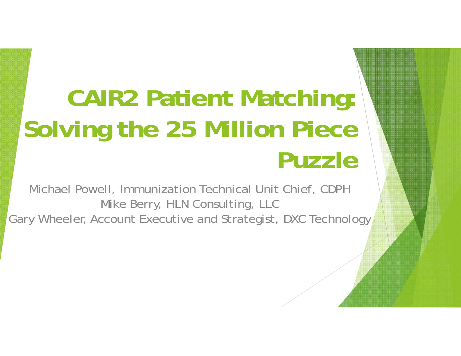# **CAIR2 Patient Matching: Solving the 25 Million Piece Puzzle**

Michael Powell, Immunization Technical Unit Chief, CDPH Mike Berry, HLN Consulting, LLC Gary Wheeler, Account Executive and Strategist, DXC Technology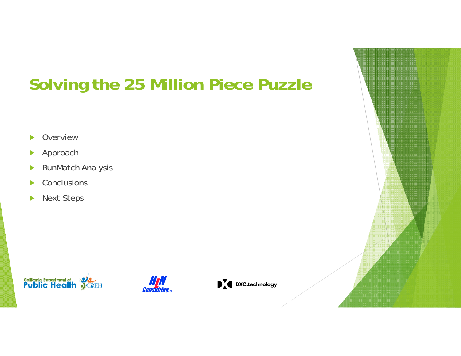### **Solving the 25 Million Piece Puzzle**

- $\blacktriangleright$ Overview
- $\blacktriangleright$ Approach
- $\blacktriangleright$ RunMatch Analysis
- $\blacktriangleright$ **Conclusions**
- $\blacktriangleright$ Next Steps





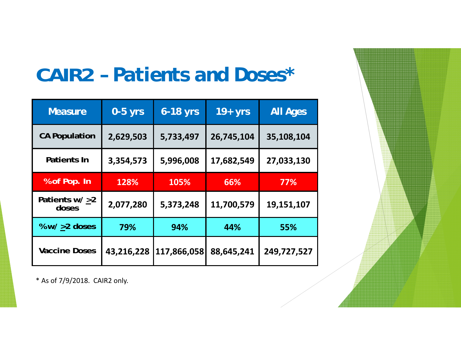# **CAIR2** *– Patients and Doses\**

| <b>Measure</b>            | $0-5$ yrs  | $6 - 18$ yrs | $19+yrs$   | <b>All Ages</b> |
|---------------------------|------------|--------------|------------|-----------------|
| <b>CA Population</b>      | 2,629,503  | 5,733,497    | 26,745,104 | 35,108,104      |
| Patients In               | 3,354,573  | 5,996,008    | 17,682,549 | 27,033,130      |
| % of Pop. In              | 128%       | 105%         | 66%        | 77%             |
| Patients $w/ >2$<br>doses | 2,077,280  | 5,373,248    | 11,700,579 | 19,151,107      |
| % $w/$ >2 doses           | 79%        | 94%          | 44%        | 55%             |
| <b>Vaccine Doses</b>      | 43,216,228 | 117,866,058  | 88,645,241 | 249,727,527     |

\* As of 7/9/2018. CAIR2 only.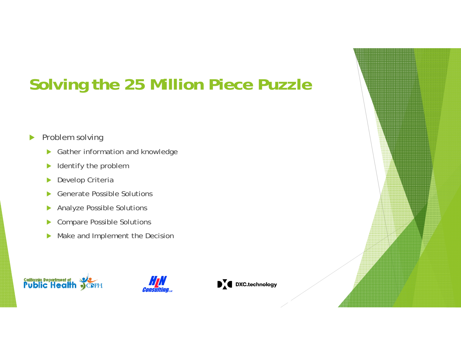# **Solving the 25 Million Piece Puzzle**

#### $\blacktriangleright$ Problem solving

- $\blacktriangleright$ Gather information and knowledge
- $\blacktriangleright$ Identify the problem
- $\blacktriangleright$ Develop Criteria
- $\blacktriangleright$ Generate Possible Solutions
- $\blacktriangleright$ Analyze Possible Solutions
- $\blacktriangleright$ Compare Possible Solutions
- $\blacktriangleright$ Make and Implement the Decision





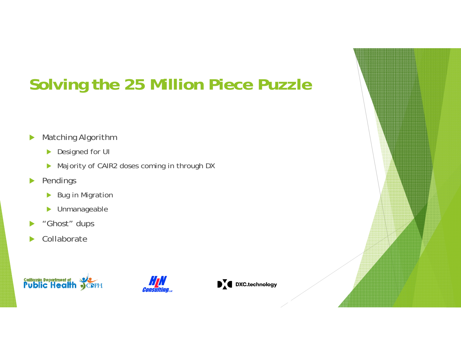# **Solving the 25 Million Piece Puzzle**

- $\blacktriangleright$  Matching Algorithm
	- ▶ Designed for UI
	- ▶ Majority of CAIR2 doses coming in through DX
- $\blacktriangleright$  Pendings
	- $\blacktriangleright$ Bug in Migration
	- $\blacktriangleright$ Unmanageable
- $\blacktriangleright$ "Ghost" dups
- $\blacktriangleright$ Collaborate





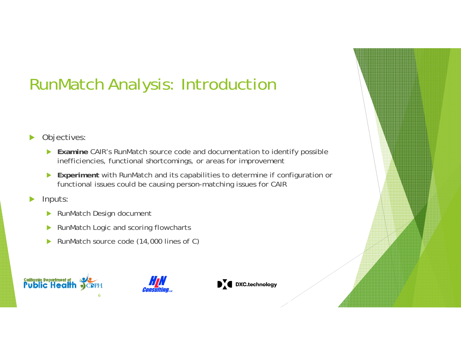# RunMatch Analysis: Introduction

#### $\blacktriangleright$ Objectives:

- **Examine** CAIR's RunMatch source code and documentation to identify possible inefficiencies, functional shortcomings, or areas for improvement
- **Experiment** with RunMatch and its capabilities to determine if configuration or functional issues could be causing person-matching issues for CAIR

#### $\blacktriangleright$ Inputs:

- $\blacktriangleright$ RunMatch Design document
- $\blacktriangleright$ RunMatch Logic and scoring flowcharts
- $\blacktriangleright$ RunMatch source code (14,000 lines of C)







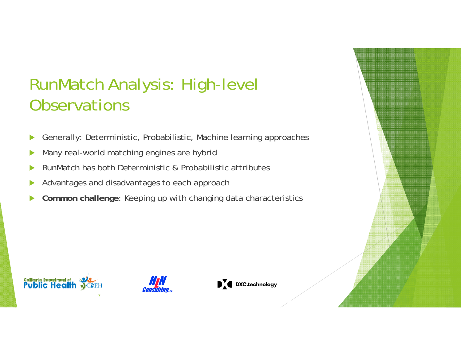#### RunMatch Analysis: High-level **Observations**

- $\blacktriangleright$ Generally: Deterministic, Probabilistic, Machine learning approaches
- $\blacktriangleright$ Many real-world matching engines are hybrid
- $\blacktriangleright$ RunMatch has both Deterministic & Probabilistic attributes
- $\blacktriangleright$ Advantages and disadvantages to each approach
- $\blacktriangleright$ **Common challenge**: Keeping up with changing data characteristics







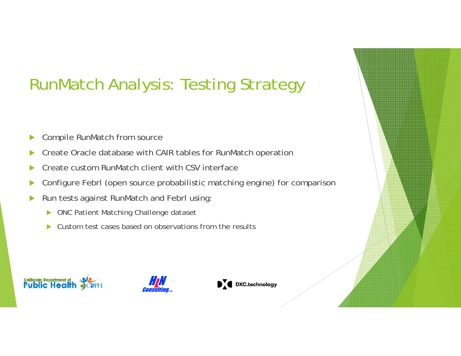### RunMatch Analysis: Testing Strategy

- $\blacktriangleright$ Compile RunMatch from source
- $\blacktriangleright$ Create Oracle database with CAIR tables for RunMatch operation
- $\blacktriangleright$ Create custom RunMatch client with CSV interface
- $\blacktriangleright$ Configure Febrl (open source probabilistic matching engine) for comparison
- $\blacktriangleright$  Run tests against RunMatch and Febrl using:
	- $\blacktriangleright$ ONC Patient Matching Challenge dataset
	- $\blacktriangleright$ Custom test cases based on observations from the results

![](_page_7_Picture_8.jpeg)

![](_page_7_Picture_9.jpeg)

![](_page_7_Picture_10.jpeg)

![](_page_7_Picture_11.jpeg)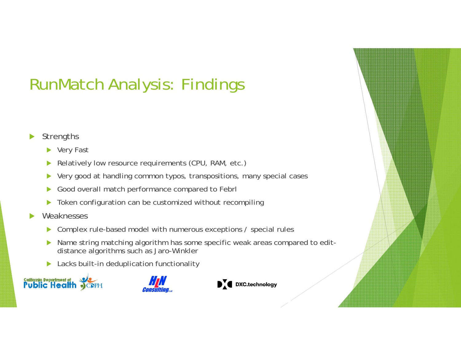# RunMatch Analysis: Findings

#### $\blacktriangleright$ **Strengths**

- ▶ Very Fast
- $\blacktriangleright$ Relatively low resource requirements (CPU, RAM, etc.)
- $\blacktriangleright$ Very good at handling common typos, transpositions, many special cases
- $\blacktriangleright$ Good overall match performance compared to Febrl
- $\blacktriangleright$ Token configuration can be customized without recompiling
- $\blacktriangleright$  Weaknesses
	- $\blacktriangleright$ Complex rule-based model with numerous exceptions / special rules
	- $\blacktriangleright$  Name string matching algorithm has some specific weak areas compared to editdistance algorithms such as Jaro-Winkler
	- $\blacktriangleright$ Lacks built-in deduplication functionality

![](_page_8_Picture_11.jpeg)

![](_page_8_Picture_12.jpeg)

![](_page_8_Picture_13.jpeg)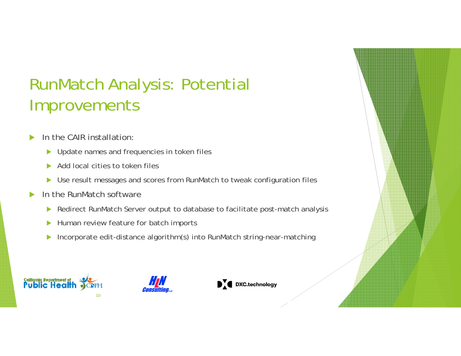#### RunMatch Analysis: Potential Improvements

- $\blacktriangleright$  In the CAIR installation:
	- $\blacktriangleright$ Update names and frequencies in token files
	- $\blacktriangleright$ Add local cities to token files
	- $\blacktriangleright$ Use result messages and scores from RunMatch to tweak configuration files
- $\blacktriangleright$  In the RunMatch software
	- $\blacktriangleright$ Redirect RunMatch Server output to database to facilitate post-match analysis
	- $\blacktriangleright$ Human review feature for batch imports
	- $\blacktriangleright$ Incorporate edit-distance algorithm(s) into RunMatch string-near-matching

![](_page_9_Picture_9.jpeg)

![](_page_9_Picture_10.jpeg)

![](_page_9_Picture_11.jpeg)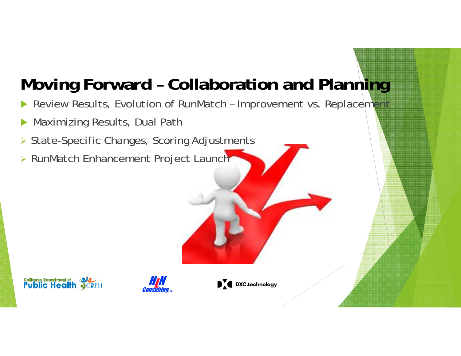### **Moving Forward – Collaboration and Planning**

- $\blacktriangleright$ Review Results, Evolution of RunMatch - Improvement vs. Replacement
- $\blacktriangleright$ Maximizing Results, Dual Path
- ▶ State-Specific Changes, Scoring Adjustments
- RunMatch Enhancement Project Launch

![](_page_10_Picture_5.jpeg)

![](_page_10_Picture_6.jpeg)

![](_page_10_Picture_7.jpeg)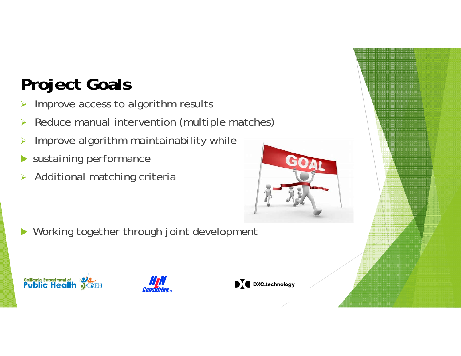# **Project Goals**

- $\blacktriangleright$ Improve access to algorithm results
- $\blacktriangleright$ Reduce manual intervention (multiple matches)
- $\blacktriangleright$ Improve algorithm maintainability while
- $\blacktriangleright$ sustaining performance
- $\blacktriangleright$ Additional matching criteria

![](_page_11_Picture_6.jpeg)

 $\blacktriangleright$ Working together through joint development

![](_page_11_Picture_8.jpeg)

![](_page_11_Picture_9.jpeg)

![](_page_11_Picture_10.jpeg)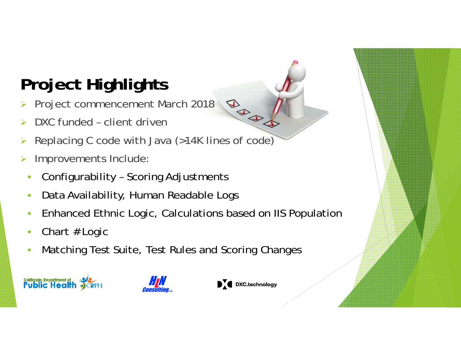# **Project Highlights**

- **BBB**  Project commencement March 2018  $\blacktriangleright$
- $\blacktriangleright$ DXC funded – client driven
- $\blacktriangleright$ Replacing C code with Java (>14K lines of code)
- $\blacktriangleright$  Improvements Include:
	- E Configurability – Scoring Adjustments
	- E Data Availability, Human Readable Logs
	- E Enhanced Ethnic Logic, Calculations based on IIS Population
	- г Chart # Logic
	- F Matching Test Suite, Test Rules and Scoring Changes

![](_page_12_Picture_10.jpeg)

![](_page_12_Picture_11.jpeg)

![](_page_12_Picture_12.jpeg)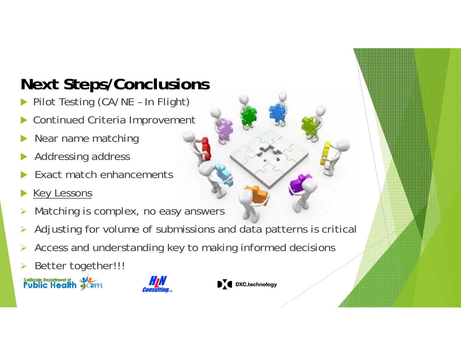## **Next Steps/Conclusions**

- $\blacktriangleright$ Pilot Testing (CA/NE – In Flight)
- $\blacktriangleright$ Continued Criteria Improvement
- $\blacktriangleright$ Near name matching
- $\blacktriangleright$ Addressing address
- $\blacktriangleright$ Exact match enhancements
- $\blacktriangleright$ Key Lessons
- $\blacktriangleright$ Matching is complex, no easy answers
- $\blacktriangleright$ Adjusting for volume of submissions and data patterns is critical
- $\blacktriangleright$ Access and understanding key to making informed decisions
- $\blacktriangleright$ Better together!!!

**California Department of Second** 

![](_page_13_Picture_12.jpeg)

![](_page_13_Picture_13.jpeg)